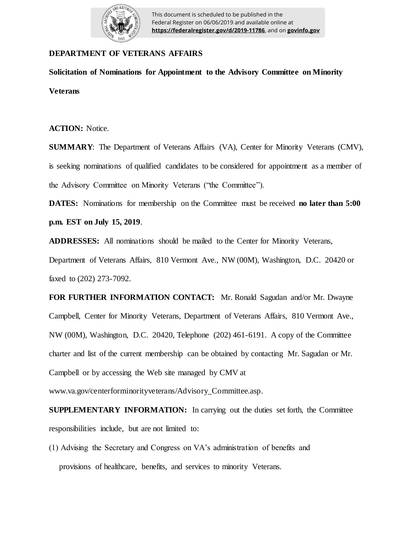

## **DEPARTMENT OF VETERANS AFFAIRS**

**Solicitation of Nominations for Appointment to the Advisory Committee on Minority Veterans**

**ACTION:** Notice.

**SUMMARY**: The Department of Veterans Affairs (VA), Center for Minority Veterans (CMV), is seeking nominations of qualified candidates to be considered for appointment as a member of the Advisory Committee on Minority Veterans ("the Committee").

**DATES:** Nominations for membership on the Committee must be received **no later than 5:00 p.m. EST on July 15, 2019**.

**ADDRESSES:** All nominations should be mailed to the Center for Minority Veterans,

Department of Veterans Affairs, 810 Vermont Ave., NW (00M), Washington, D.C. 20420 or faxed to (202) 273-7092.

**FOR FURTHER INFORMATION CONTACT:** Mr. Ronald Sagudan and/or Mr. Dwayne Campbell, Center for Minority Veterans, Department of Veterans Affairs, 810 Vermont Ave., NW (00M), Washington, D.C. 20420, Telephone (202) 461-6191. A copy of the Committee charter and list of the current membership can be obtained by contacting Mr. Sagudan or Mr. Campbell or by accessing the Web site managed by CMV at www.va.gov/centerforminorityveterans/Advisory\_Committee.asp.

**SUPPLEMENTARY INFORMATION:** In carrying out the duties set forth, the Committee responsibilities include, but are not limited to:

(1) Advising the Secretary and Congress on VA's administration of benefits and provisions of healthcare, benefits, and services to minority Veterans.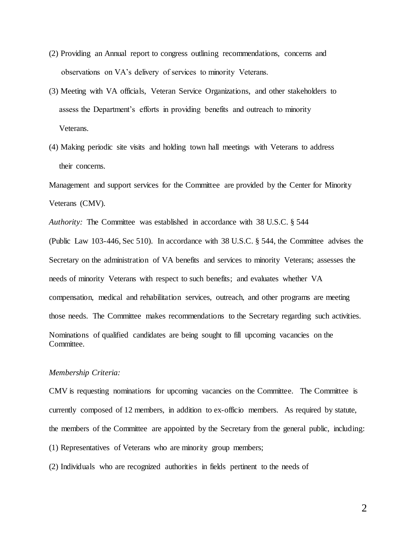- (2) Providing an Annual report to congress outlining recommendations, concerns and observations on VA's delivery of services to minority Veterans.
- (3) Meeting with VA officials, Veteran Service Organizations, and other stakeholders to assess the Department's efforts in providing benefits and outreach to minority Veterans.
- (4) Making periodic site visits and holding town hall meetings with Veterans to address their concerns.

Management and support services for the Committee are provided by the Center for Minority Veterans (CMV).

*Authority:* The Committee was established in accordance with 38 U.S.C. § 544 (Public Law 103-446, Sec 510). In accordance with 38 U.S.C. § 544, the Committee advises the Secretary on the administration of VA benefits and services to minority Veterans; assesses the needs of minority Veterans with respect to such benefits; and evaluates whether VA compensation, medical and rehabilitation services, outreach, and other programs are meeting those needs. The Committee makes recommendations to the Secretary regarding such activities. Nominations of qualified candidates are being sought to fill upcoming vacancies on the Committee.

## *Membership Criteria:*

CMV is requesting nominations for upcoming vacancies on the Committee. The Committee is currently composed of 12 members, in addition to ex-officio members. As required by statute, the members of the Committee are appointed by the Secretary from the general public, including: (1) Representatives of Veterans who are minority group members;

(2) Individuals who are recognized authorities in fields pertinent to the needs of

2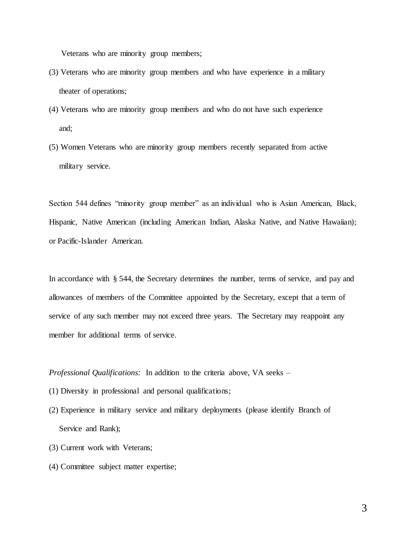Veterans who are minority group members;

- (3) Veterans who are minority group members and who have experience in a military theater of operations;
- (4) Veterans who are minority group members and who do not have such experience and;
- (5) Women Veterans who are minority group members recently separated from active military service.

Section 544 defines "minority group member" as an individual who is Asian American, Black, Hispanic, Native American (including American Indian, Alaska Native, and Native Hawaiian); or Pacific-Islander American.

In accordance with § 544, the Secretary determines the number, terms of service, and pay and allowances of members of the Committee appointed by the Secretary, except that a term of service of any such member may not exceed three years. The Secretary may reappoint any member for additional terms of service.

## *Professional Qualifications:* In addition to the criteria above, VA seeks –

- (1) Diversity in professional and personal qualifications;
- (2) Experience in military service and military deployments (please identify Branch of Service and Rank);
- (3) Current work with Veterans;
- (4) Committee subject matter expertise;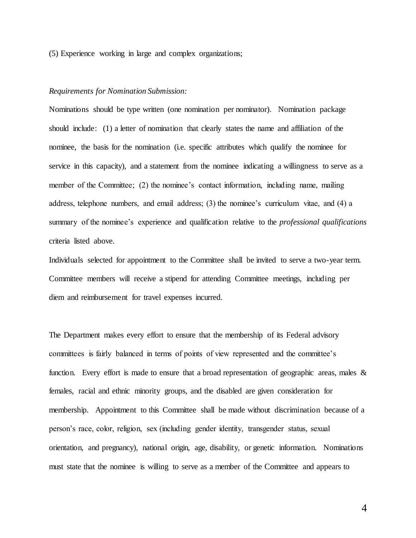(5) Experience working in large and complex organizations;

## *Requirements for Nomination Submission:*

Nominations should be type written (one nomination per nominator). Nomination package should include: (1) a letter of nomination that clearly states the name and affiliation of the nominee, the basis for the nomination (i.e. specific attributes which qualify the nominee for service in this capacity), and a statement from the nominee indicating a willingness to serve as a member of the Committee; (2) the nominee's contact information, including name, mailing address, telephone numbers, and email address; (3) the nominee's curriculum vitae, and (4) a summary of the nominee's experience and qualification relative to the *professional qualifications*  criteria listed above.

Individuals selected for appointment to the Committee shall be invited to serve a two-year term. Committee members will receive a stipend for attending Committee meetings, including per diem and reimbursement for travel expenses incurred.

The Department makes every effort to ensure that the membership of its Federal advisory committees is fairly balanced in terms of points of view represented and the committee's function. Every effort is made to ensure that a broad representation of geographic areas, males & females, racial and ethnic minority groups, and the disabled are given consideration for membership. Appointment to this Committee shall be made without discrimination because of a person's race, color, religion, sex (including gender identity, transgender status, sexual orientation, and pregnancy), national origin, age, disability, or genetic information. Nominations must state that the nominee is willing to serve as a member of the Committee and appears to

4